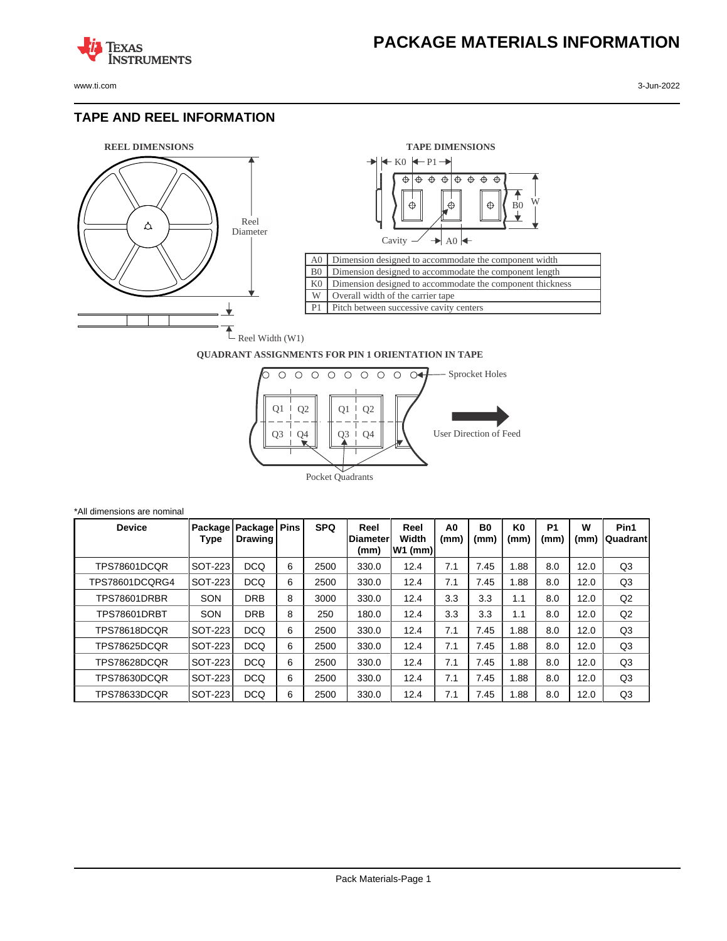www.ti.com 3-Jun-2022

**TEXAS** 

#### **TAPE AND REEL INFORMATION**

**ISTRUMENTS** 





#### **QUADRANT ASSIGNMENTS FOR PIN 1 ORIENTATION IN TAPE**



| *All dimensions are nominal |                     |                |                                            |   |            |                                  |                            |            |            |                        |                        |           |                   |
|-----------------------------|---------------------|----------------|--------------------------------------------|---|------------|----------------------------------|----------------------------|------------|------------|------------------------|------------------------|-----------|-------------------|
|                             | <b>Device</b>       | Type           | Package   Package   Pins<br><b>Drawing</b> |   | <b>SPQ</b> | Reel<br><b>IDiameter</b><br>(mm) | Reel<br>Width<br>$W1$ (mm) | A0<br>(mm) | B0<br>(mm) | K <sub>0</sub><br>(mm) | P <sub>1</sub><br>(mm) | W<br>(mm) | Pin1<br> Quadrant |
|                             | TPS78601DCQR        | SOT-223        | <b>DCQ</b>                                 | 6 | 2500       | 330.0                            | 12.4                       | 7.1        | 7.45       | 1.88                   | 8.0                    | 12.0      | Q3                |
|                             | TPS78601DCQRG4      | SOT-223        | <b>DCQ</b>                                 | 6 | 2500       | 330.0                            | 12.4                       | 7.1        | 7.45       | 1.88                   | 8.0                    | 12.0      | Q <sub>3</sub>    |
|                             | <b>TPS78601DRBR</b> | SON            | <b>DRB</b>                                 | 8 | 3000       | 330.0                            | 12.4                       | 3.3        | 3.3        | 1.1                    | 8.0                    | 12.0      | Q2                |
|                             | TPS78601DRBT        | SON            | <b>DRB</b>                                 | 8 | 250        | 180.0                            | 12.4                       | 3.3        | 3.3        | 1.1                    | 8.0                    | 12.0      | Q2                |
|                             | TPS78618DCOR        | <b>SOT-223</b> | <b>DCQ</b>                                 | 6 | 2500       | 330.0                            | 12.4                       | 7.1        | 7.45       | 1.88                   | 8.0                    | 12.0      | Q <sub>3</sub>    |
|                             | TPS78625DCQR        | <b>SOT-223</b> | <b>DCQ</b>                                 | 6 | 2500       | 330.0                            | 12.4                       | 7.1        | 7.45       | 1.88                   | 8.0                    | 12.0      | Q3                |
|                             | TPS78628DCOR        | SOT-223        | <b>DCQ</b>                                 | 6 | 2500       | 330.0                            | 12.4                       | 7.1        | 7.45       | 1.88                   | 8.0                    | 12.0      | Q <sub>3</sub>    |
|                             | TPS78630DCQR        | SOT-223        | <b>DCQ</b>                                 | 6 | 2500       | 330.0                            | 12.4                       | 7.1        | 7.45       | 1.88                   | 8.0                    | 12.0      | Q <sub>3</sub>    |
|                             | TPS78633DCQR        | SOT-223        | <b>DCQ</b>                                 | 6 | 2500       | 330.0                            | 12.4                       | 7.1        | 7.45       | 1.88                   | 8.0                    | 12.0      | Q <sub>3</sub>    |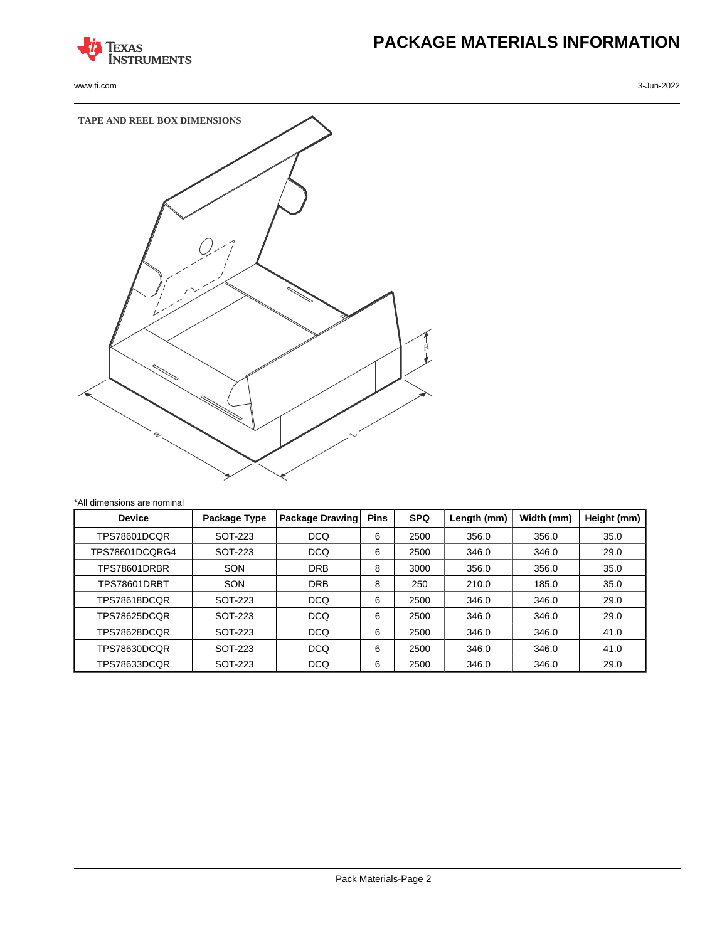

www.ti.com 3-Jun-2022

# **PACKAGE MATERIALS INFORMATION**



| <b>Device</b>       | Package Type | <b>Package Drawing</b> | <b>Pins</b> | <b>SPQ</b> | Length (mm) | Width (mm) | Height (mm) |
|---------------------|--------------|------------------------|-------------|------------|-------------|------------|-------------|
| TPS78601DCOR        | SOT-223      | <b>DCQ</b>             | 6           | 2500       | 356.0       | 356.0      | 35.0        |
| TPS78601DCQRG4      | SOT-223      | <b>DCQ</b>             | 6           | 2500       | 346.0       | 346.0      | 29.0        |
| <b>TPS78601DRBR</b> | SON          | <b>DRB</b>             | 8           | 3000       | 356.0       | 356.0      | 35.0        |
| TPS78601DRBT        | SON          | <b>DRB</b>             | 8           | 250        | 210.0       | 185.0      | 35.0        |
| TPS78618DCOR        | SOT-223      | <b>DCQ</b>             | 6           | 2500       | 346.0       | 346.0      | 29.0        |
| TPS78625DCOR        | SOT-223      | <b>DCQ</b>             | 6           | 2500       | 346.0       | 346.0      | 29.0        |
| TPS78628DCOR        | SOT-223      | <b>DCQ</b>             | 6           | 2500       | 346.0       | 346.0      | 41.0        |
| TPS78630DCQR        | SOT-223      | <b>DCQ</b>             | 6           | 2500       | 346.0       | 346.0      | 41.0        |
| TPS78633DCQR        | SOT-223      | <b>DCQ</b>             | 6           | 2500       | 346.0       | 346.0      | 29.0        |